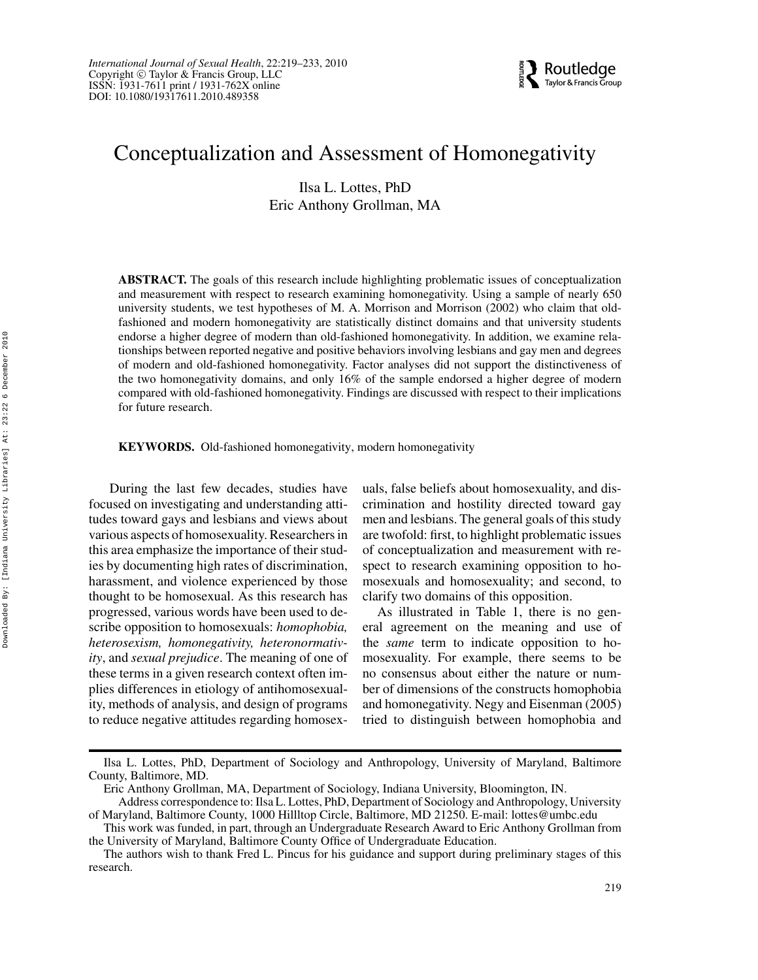

# Conceptualization and Assessment of Homonegativity

Ilsa L. Lottes, PhD Eric Anthony Grollman, MA

**ABSTRACT.** The goals of this research include highlighting problematic issues of conceptualization and measurement with respect to research examining homonegativity. Using a sample of nearly 650 university students, we test hypotheses of M. A. Morrison and Morrison (2002) who claim that oldfashioned and modern homonegativity are statistically distinct domains and that university students endorse a higher degree of modern than old-fashioned homonegativity. In addition, we examine relationships between reported negative and positive behaviors involving lesbians and gay men and degrees of modern and old-fashioned homonegativity. Factor analyses did not support the distinctiveness of the two homonegativity domains, and only 16% of the sample endorsed a higher degree of modern compared with old-fashioned homonegativity. Findings are discussed with respect to their implications for future research.

**KEYWORDS.** Old-fashioned homonegativity, modern homonegativity

During the last few decades, studies have focused on investigating and understanding attitudes toward gays and lesbians and views about various aspects of homosexuality. Researchers in this area emphasize the importance of their studies by documenting high rates of discrimination, harassment, and violence experienced by those thought to be homosexual. As this research has progressed, various words have been used to describe opposition to homosexuals: *homophobia, heterosexism, homonegativity, heteronormativity*, and *sexual prejudice*. The meaning of one of these terms in a given research context often implies differences in etiology of antihomosexuality, methods of analysis, and design of programs to reduce negative attitudes regarding homosexuals, false beliefs about homosexuality, and discrimination and hostility directed toward gay men and lesbians. The general goals of this study are twofold: first, to highlight problematic issues of conceptualization and measurement with respect to research examining opposition to homosexuals and homosexuality; and second, to clarify two domains of this opposition.

As illustrated in Table 1, there is no general agreement on the meaning and use of the *same* term to indicate opposition to homosexuality. For example, there seems to be no consensus about either the nature or number of dimensions of the constructs homophobia and homonegativity. Negy and Eisenman (2005) tried to distinguish between homophobia and

Ilsa L. Lottes, PhD, Department of Sociology and Anthropology, University of Maryland, Baltimore County, Baltimore, MD.

Eric Anthony Grollman, MA, Department of Sociology, Indiana University, Bloomington, IN.

Address correspondence to: Ilsa L. Lottes, PhD, Department of Sociology and Anthropology, University of Maryland, Baltimore County, 1000 Hillltop Circle, Baltimore, MD 21250. E-mail: lottes@umbc.edu

This work was funded, in part, through an Undergraduate Research Award to Eric Anthony Grollman from the University of Maryland, Baltimore County Office of Undergraduate Education.

The authors wish to thank Fred L. Pincus for his guidance and support during preliminary stages of this research.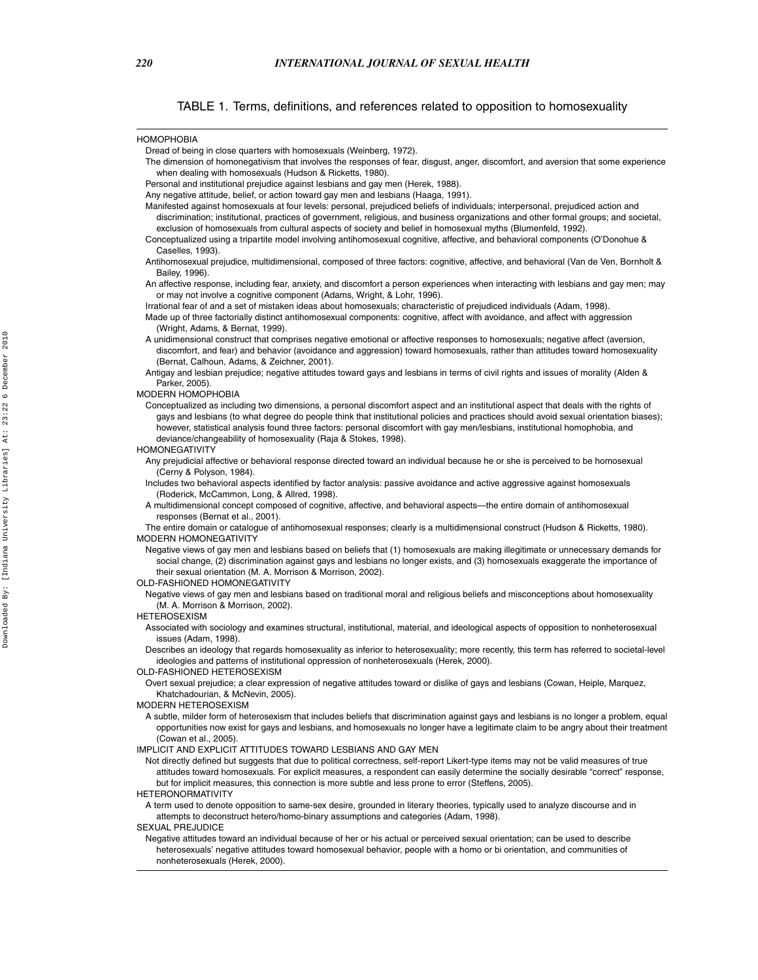### TABLE 1. Terms, definitions, and references related to opposition to homosexuality

#### HOMOPHOBIA

Dread of being in close quarters with homosexuals (Weinberg, 1972).

Manifested against homosexuals at four levels: personal, prejudiced beliefs of individuals; interpersonal, prejudiced action and discrimination; institutional, practices of government, religious, and business organizations and other formal groups; and societal, exclusion of homosexuals from cultural aspects of society and belief in homosexual myths (Blumenfeld, 1992).

Conceptualized using a tripartite model involving antihomosexual cognitive, affective, and behavioral components (O'Donohue & Caselles, 1993).

An affective response, including fear, anxiety, and discomfort a person experiences when interacting with lesbians and gay men; may or may not involve a cognitive component (Adams, Wright, & Lohr, 1996).

Irrational fear of and a set of mistaken ideas about homosexuals; characteristic of prejudiced individuals (Adam, 1998).

#### MODERN HOMOPHOBIA

Conceptualized as including two dimensions, a personal discomfort aspect and an institutional aspect that deals with the rights of gays and lesbians (to what degree do people think that institutional policies and practices should avoid sexual orientation biases); however, statistical analysis found three factors: personal discomfort with gay men/lesbians, institutional homophobia, and deviance/changeability of homosexuality (Raja & Stokes, 1998).

#### HOMONEGATIVITY

Any prejudicial affective or behavioral response directed toward an individual because he or she is perceived to be homosexual (Cerny & Polyson, 1984).

Includes two behavioral aspects identified by factor analysis: passive avoidance and active aggressive against homosexuals (Roderick, McCammon, Long, & Allred, 1998).

A multidimensional concept composed of cognitive, affective, and behavioral aspects—the entire domain of antihomosexual responses (Bernat et al., 2001).

The entire domain or catalogue of antihomosexual responses; clearly is a multidimensional construct (Hudson & Ricketts, 1980). MODERN HOMONEGATIVITY

Negative views of gay men and lesbians based on beliefs that (1) homosexuals are making illegitimate or unnecessary demands for social change, (2) discrimination against gays and lesbians no longer exists, and (3) homosexuals exaggerate the importance of their sexual orientation (M. A. Morrison & Morrison, 2002).

#### OLD-FASHIONED HOMONEGATIVITY

Negative views of gay men and lesbians based on traditional moral and religious beliefs and misconceptions about homosexuality (M. A. Morrison & Morrison, 2002).

#### HETEROSEXISM

Associated with sociology and examines structural, institutional, material, and ideological aspects of opposition to nonheterosexual issues (Adam, 1998).

Describes an ideology that regards homosexuality as inferior to heterosexuality; more recently, this term has referred to societal-level ideologies and patterns of institutional oppression of nonheterosexuals (Herek, 2000).

#### OLD-FASHIONED HETEROSEXISM

Overt sexual prejudice; a clear expression of negative attitudes toward or dislike of gays and lesbians (Cowan, Heiple, Marquez, Khatchadourian, & McNevin, 2005).

#### MODERN HETEROSEXISM

A subtle, milder form of heterosexism that includes beliefs that discrimination against gays and lesbians is no longer a problem, equal opportunities now exist for gays and lesbians, and homosexuals no longer have a legitimate claim to be angry about their treatment (Cowan et al., 2005).

#### IMPLICIT AND EXPLICIT ATTITUDES TOWARD LESBIANS AND GAY MEN

Not directly defined but suggests that due to political correctness, self-report Likert-type items may not be valid measures of true attitudes toward homosexuals. For explicit measures, a respondent can easily determine the socially desirable "correct" response, but for implicit measures, this connection is more subtle and less prone to error (Steffens, 2005).

#### HETERONORMATIVITY

A term used to denote opposition to same-sex desire, grounded in literary theories, typically used to analyze discourse and in attempts to deconstruct hetero/homo-binary assumptions and categories (Adam, 1998).

#### SEXUAL PREJUDICE

Negative attitudes toward an individual because of her or his actual or perceived sexual orientation; can be used to describe heterosexuals' negative attitudes toward homosexual behavior, people with a homo or bi orientation, and communities of nonheterosexuals (Herek, 2000).

The dimension of homonegativism that involves the responses of fear, disgust, anger, discomfort, and aversion that some experience when dealing with homosexuals (Hudson & Ricketts, 1980).

Personal and institutional prejudice against lesbians and gay men (Herek, 1988).

Any negative attitude, belief, or action toward gay men and lesbians (Haaga, 1991).

Antihomosexual prejudice, multidimensional, composed of three factors: cognitive, affective, and behavioral (Van de Ven, Bornholt & Bailey, 1996).

Made up of three factorially distinct antihomosexual components: cognitive, affect with avoidance, and affect with aggression (Wright, Adams, & Bernat, 1999).

A unidimensional construct that comprises negative emotional or affective responses to homosexuals; negative affect (aversion, discomfort, and fear) and behavior (avoidance and aggression) toward homosexuals, rather than attitudes toward homosexuality (Bernat, Calhoun, Adams, & Zeichner, 2001).

Antigay and lesbian prejudice; negative attitudes toward gays and lesbians in terms of civil rights and issues of morality (Alden & Parker, 2005).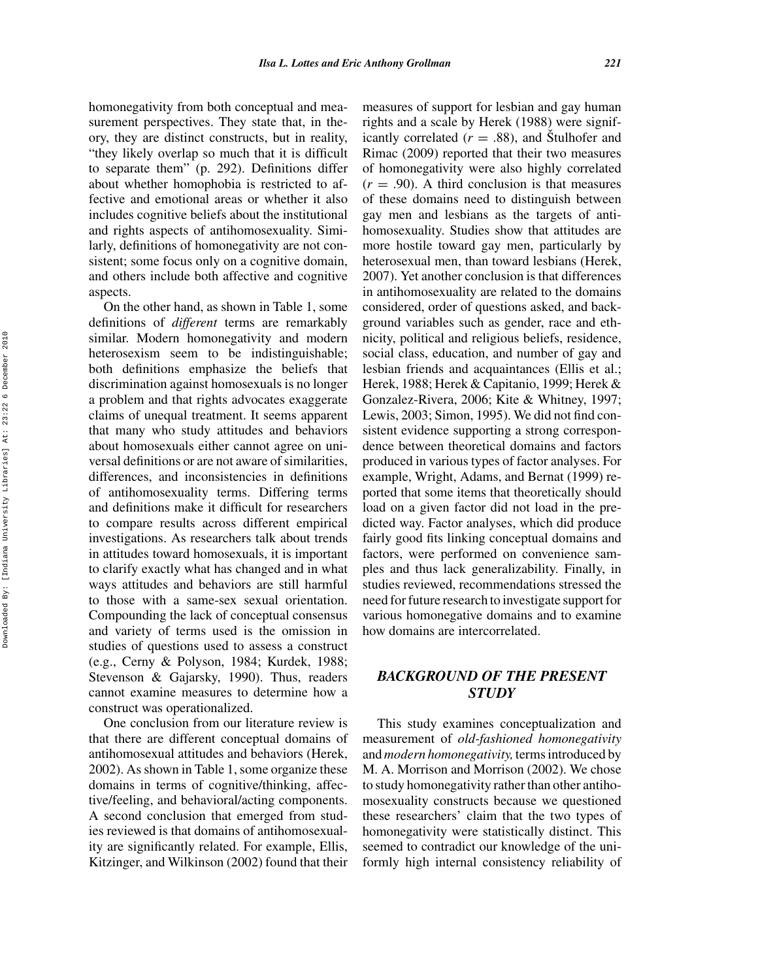homonegativity from both conceptual and measurement perspectives. They state that, in theory, they are distinct constructs, but in reality, "they likely overlap so much that it is difficult to separate them" (p. 292). Definitions differ about whether homophobia is restricted to affective and emotional areas or whether it also includes cognitive beliefs about the institutional and rights aspects of antihomosexuality. Similarly, definitions of homonegativity are not consistent; some focus only on a cognitive domain, and others include both affective and cognitive aspects.

On the other hand, as shown in Table 1, some definitions of *different* terms are remarkably similar. Modern homonegativity and modern heterosexism seem to be indistinguishable; both definitions emphasize the beliefs that discrimination against homosexuals is no longer a problem and that rights advocates exaggerate claims of unequal treatment. It seems apparent that many who study attitudes and behaviors about homosexuals either cannot agree on universal definitions or are not aware of similarities, differences, and inconsistencies in definitions of antihomosexuality terms. Differing terms and definitions make it difficult for researchers to compare results across different empirical investigations. As researchers talk about trends in attitudes toward homosexuals, it is important to clarify exactly what has changed and in what ways attitudes and behaviors are still harmful to those with a same-sex sexual orientation. Compounding the lack of conceptual consensus and variety of terms used is the omission in studies of questions used to assess a construct (e.g., Cerny & Polyson, 1984; Kurdek, 1988; Stevenson & Gajarsky, 1990). Thus, readers cannot examine measures to determine how a construct was operationalized.

One conclusion from our literature review is that there are different conceptual domains of antihomosexual attitudes and behaviors (Herek, 2002). As shown in Table 1, some organize these domains in terms of cognitive/thinking, affective/feeling, and behavioral/acting components. A second conclusion that emerged from studies reviewed is that domains of antihomosexuality are significantly related. For example, Ellis, Kitzinger, and Wilkinson (2002) found that their

measures of support for lesbian and gay human rights and a scale by Herek (1988) were significantly correlated  $(r = .88)$ , and Stulhofer and Rimac (2009) reported that their two measures of homonegativity were also highly correlated  $(r = .90)$ . A third conclusion is that measures of these domains need to distinguish between gay men and lesbians as the targets of antihomosexuality. Studies show that attitudes are more hostile toward gay men, particularly by heterosexual men, than toward lesbians (Herek, 2007). Yet another conclusion is that differences in antihomosexuality are related to the domains considered, order of questions asked, and background variables such as gender, race and ethnicity, political and religious beliefs, residence, social class, education, and number of gay and lesbian friends and acquaintances (Ellis et al.; Herek, 1988; Herek & Capitanio, 1999; Herek & Gonzalez-Rivera, 2006; Kite & Whitney, 1997; Lewis, 2003; Simon, 1995). We did not find consistent evidence supporting a strong correspondence between theoretical domains and factors produced in various types of factor analyses. For example, Wright, Adams, and Bernat (1999) reported that some items that theoretically should load on a given factor did not load in the predicted way. Factor analyses, which did produce fairly good fits linking conceptual domains and factors, were performed on convenience samples and thus lack generalizability. Finally, in studies reviewed, recommendations stressed the need for future research to investigate support for various homonegative domains and to examine how domains are intercorrelated.

# *BACKGROUND OF THE PRESENT STUDY*

This study examines conceptualization and measurement of *old-fashioned homonegativity* and *modern homonegativity,* terms introduced by M. A. Morrison and Morrison (2002). We chose to study homonegativity rather than other antihomosexuality constructs because we questioned these researchers' claim that the two types of homonegativity were statistically distinct. This seemed to contradict our knowledge of the uniformly high internal consistency reliability of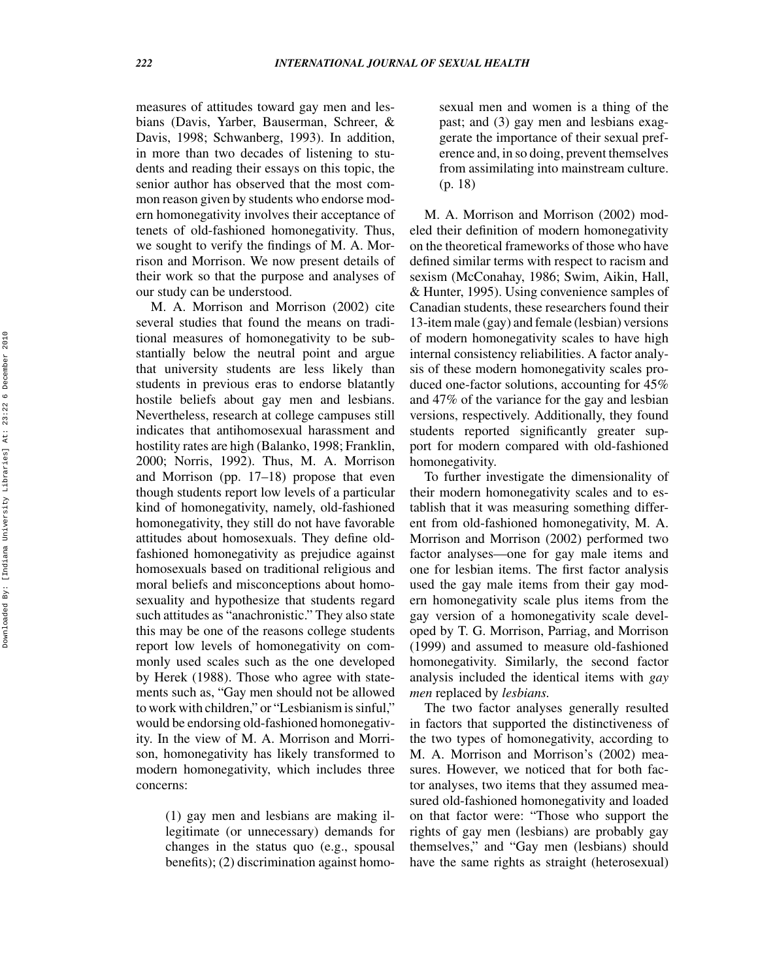measures of attitudes toward gay men and lesbians (Davis, Yarber, Bauserman, Schreer, & Davis, 1998; Schwanberg, 1993). In addition, in more than two decades of listening to students and reading their essays on this topic, the senior author has observed that the most common reason given by students who endorse modern homonegativity involves their acceptance of tenets of old-fashioned homonegativity. Thus, we sought to verify the findings of M. A. Morrison and Morrison. We now present details of their work so that the purpose and analyses of our study can be understood.

M. A. Morrison and Morrison (2002) cite several studies that found the means on traditional measures of homonegativity to be substantially below the neutral point and argue that university students are less likely than students in previous eras to endorse blatantly hostile beliefs about gay men and lesbians. Nevertheless, research at college campuses still indicates that antihomosexual harassment and hostility rates are high (Balanko, 1998; Franklin, 2000; Norris, 1992). Thus, M. A. Morrison and Morrison (pp. 17–18) propose that even though students report low levels of a particular kind of homonegativity, namely, old-fashioned homonegativity, they still do not have favorable attitudes about homosexuals. They define oldfashioned homonegativity as prejudice against homosexuals based on traditional religious and moral beliefs and misconceptions about homosexuality and hypothesize that students regard such attitudes as "anachronistic." They also state this may be one of the reasons college students report low levels of homonegativity on commonly used scales such as the one developed by Herek (1988). Those who agree with statements such as, "Gay men should not be allowed to work with children," or "Lesbianism is sinful," would be endorsing old-fashioned homonegativity. In the view of M. A. Morrison and Morrison, homonegativity has likely transformed to modern homonegativity, which includes three concerns:

> (1) gay men and lesbians are making illegitimate (or unnecessary) demands for changes in the status quo (e.g., spousal benefits); (2) discrimination against homo

sexual men and women is a thing of the past; and (3) gay men and lesbians exaggerate the importance of their sexual preference and, in so doing, prevent themselves from assimilating into mainstream culture. (p. 18)

M. A. Morrison and Morrison (2002) modeled their definition of modern homonegativity on the theoretical frameworks of those who have defined similar terms with respect to racism and sexism (McConahay, 1986; Swim, Aikin, Hall, & Hunter, 1995). Using convenience samples of Canadian students, these researchers found their 13-item male (gay) and female (lesbian) versions of modern homonegativity scales to have high internal consistency reliabilities. A factor analysis of these modern homonegativity scales produced one-factor solutions, accounting for 45% and 47% of the variance for the gay and lesbian versions, respectively. Additionally, they found students reported significantly greater support for modern compared with old-fashioned homonegativity.

To further investigate the dimensionality of their modern homonegativity scales and to establish that it was measuring something different from old-fashioned homonegativity, M. A. Morrison and Morrison (2002) performed two factor analyses—one for gay male items and one for lesbian items. The first factor analysis used the gay male items from their gay modern homonegativity scale plus items from the gay version of a homonegativity scale developed by T. G. Morrison, Parriag, and Morrison (1999) and assumed to measure old-fashioned homonegativity. Similarly, the second factor analysis included the identical items with *gay men* replaced by *lesbians.*

The two factor analyses generally resulted in factors that supported the distinctiveness of the two types of homonegativity, according to M. A. Morrison and Morrison's (2002) measures. However, we noticed that for both factor analyses, two items that they assumed measured old-fashioned homonegativity and loaded on that factor were: "Those who support the rights of gay men (lesbians) are probably gay themselves," and "Gay men (lesbians) should have the same rights as straight (heterosexual)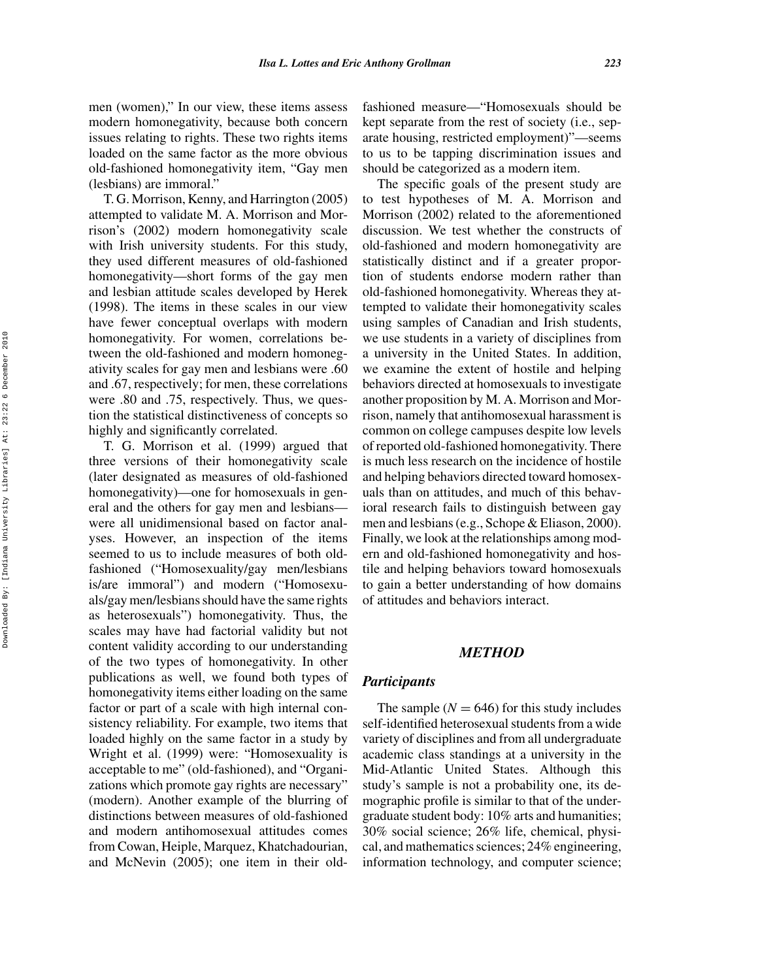men (women)," In our view, these items assess modern homonegativity, because both concern issues relating to rights. These two rights items loaded on the same factor as the more obvious old-fashioned homonegativity item, "Gay men (lesbians) are immoral."

T. G. Morrison, Kenny, and Harrington (2005) attempted to validate M. A. Morrison and Morrison's (2002) modern homonegativity scale with Irish university students. For this study, they used different measures of old-fashioned homonegativity—short forms of the gay men and lesbian attitude scales developed by Herek (1998). The items in these scales in our view have fewer conceptual overlaps with modern homonegativity. For women, correlations between the old-fashioned and modern homonegativity scales for gay men and lesbians were .60 and .67, respectively; for men, these correlations were .80 and .75, respectively. Thus, we question the statistical distinctiveness of concepts so highly and significantly correlated.

T. G. Morrison et al. (1999) argued that three versions of their homonegativity scale (later designated as measures of old-fashioned homonegativity)—one for homosexuals in general and the others for gay men and lesbians were all unidimensional based on factor analyses. However, an inspection of the items seemed to us to include measures of both oldfashioned ("Homosexuality/gay men/lesbians is/are immoral") and modern ("Homosexuals/gay men/lesbians should have the same rights as heterosexuals") homonegativity. Thus, the scales may have had factorial validity but not content validity according to our understanding of the two types of homonegativity. In other publications as well, we found both types of homonegativity items either loading on the same factor or part of a scale with high internal consistency reliability. For example, two items that loaded highly on the same factor in a study by Wright et al. (1999) were: "Homosexuality is acceptable to me" (old-fashioned), and "Organizations which promote gay rights are necessary" (modern). Another example of the blurring of distinctions between measures of old-fashioned and modern antihomosexual attitudes comes from Cowan, Heiple, Marquez, Khatchadourian, and McNevin (2005); one item in their old-

fashioned measure—"Homosexuals should be kept separate from the rest of society (i.e., separate housing, restricted employment)"—seems to us to be tapping discrimination issues and should be categorized as a modern item.

The specific goals of the present study are to test hypotheses of M. A. Morrison and Morrison (2002) related to the aforementioned discussion. We test whether the constructs of old-fashioned and modern homonegativity are statistically distinct and if a greater proportion of students endorse modern rather than old-fashioned homonegativity. Whereas they attempted to validate their homonegativity scales using samples of Canadian and Irish students, we use students in a variety of disciplines from a university in the United States. In addition, we examine the extent of hostile and helping behaviors directed at homosexuals to investigate another proposition by M. A. Morrison and Morrison, namely that antihomosexual harassment is common on college campuses despite low levels of reported old-fashioned homonegativity. There is much less research on the incidence of hostile and helping behaviors directed toward homosexuals than on attitudes, and much of this behavioral research fails to distinguish between gay men and lesbians (e.g., Schope & Eliason, 2000). Finally, we look at the relationships among modern and old-fashioned homonegativity and hostile and helping behaviors toward homosexuals to gain a better understanding of how domains of attitudes and behaviors interact.

### *METHOD*

### *Participants*

The sample  $(N = 646)$  for this study includes self-identified heterosexual students from a wide variety of disciplines and from all undergraduate academic class standings at a university in the Mid-Atlantic United States. Although this study's sample is not a probability one, its demographic profile is similar to that of the undergraduate student body: 10% arts and humanities; 30% social science; 26% life, chemical, physical, and mathematics sciences; 24% engineering, information technology, and computer science;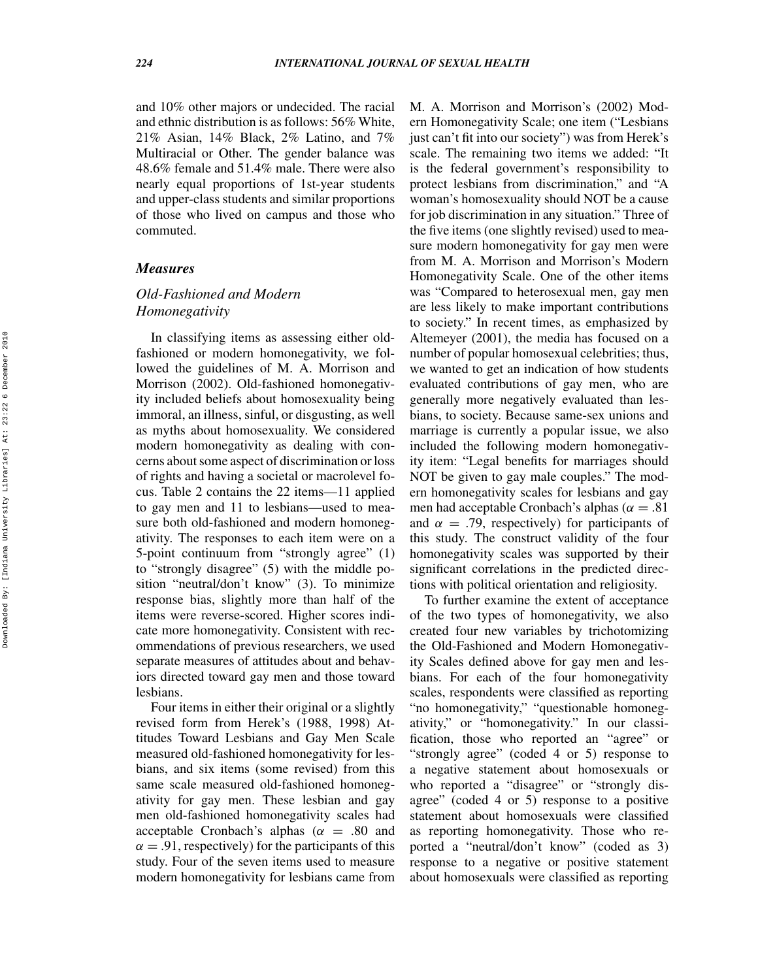and 10% other majors or undecided. The racial and ethnic distribution is as follows: 56% White, 21% Asian, 14% Black, 2% Latino, and 7% Multiracial or Other. The gender balance was 48.6% female and 51.4% male. There were also nearly equal proportions of 1st-year students and upper-class students and similar proportions of those who lived on campus and those who commuted.

### *Measures*

# *Old-Fashioned and Modern Homonegativity*

In classifying items as assessing either oldfashioned or modern homonegativity, we followed the guidelines of M. A. Morrison and Morrison (2002). Old-fashioned homonegativity included beliefs about homosexuality being immoral, an illness, sinful, or disgusting, as well as myths about homosexuality. We considered modern homonegativity as dealing with concerns about some aspect of discrimination or loss of rights and having a societal or macrolevel focus. Table 2 contains the 22 items—11 applied to gay men and 11 to lesbians—used to measure both old-fashioned and modern homonegativity. The responses to each item were on a 5-point continuum from "strongly agree" (1) to "strongly disagree" (5) with the middle position "neutral/don't know" (3). To minimize response bias, slightly more than half of the items were reverse-scored. Higher scores indicate more homonegativity. Consistent with recommendations of previous researchers, we used separate measures of attitudes about and behaviors directed toward gay men and those toward lesbians.

Four items in either their original or a slightly revised form from Herek's (1988, 1998) Attitudes Toward Lesbians and Gay Men Scale measured old-fashioned homonegativity for lesbians, and six items (some revised) from this same scale measured old-fashioned homonegativity for gay men. These lesbian and gay men old-fashioned homonegativity scales had acceptable Cronbach's alphas ( $\alpha = .80$  and  $\alpha = .91$ , respectively) for the participants of this study. Four of the seven items used to measure modern homonegativity for lesbians came from M. A. Morrison and Morrison's (2002) Modern Homonegativity Scale; one item ("Lesbians just can't fit into our society") was from Herek's scale. The remaining two items we added: "It is the federal government's responsibility to protect lesbians from discrimination," and "A woman's homosexuality should NOT be a cause for job discrimination in any situation." Three of the five items (one slightly revised) used to measure modern homonegativity for gay men were from M. A. Morrison and Morrison's Modern Homonegativity Scale. One of the other items was "Compared to heterosexual men, gay men are less likely to make important contributions to society." In recent times, as emphasized by Altemeyer (2001), the media has focused on a number of popular homosexual celebrities; thus, we wanted to get an indication of how students evaluated contributions of gay men, who are generally more negatively evaluated than lesbians, to society. Because same-sex unions and marriage is currently a popular issue, we also included the following modern homonegativity item: "Legal benefits for marriages should NOT be given to gay male couples." The modern homonegativity scales for lesbians and gay men had acceptable Cronbach's alphas ( $\alpha = .81$ and  $\alpha = .79$ , respectively) for participants of this study. The construct validity of the four homonegativity scales was supported by their significant correlations in the predicted directions with political orientation and religiosity.

To further examine the extent of acceptance of the two types of homonegativity, we also created four new variables by trichotomizing the Old-Fashioned and Modern Homonegativity Scales defined above for gay men and lesbians. For each of the four homonegativity scales, respondents were classified as reporting "no homonegativity," "questionable homonegativity," or "homonegativity." In our classification, those who reported an "agree" or "strongly agree" (coded 4 or 5) response to a negative statement about homosexuals or who reported a "disagree" or "strongly disagree" (coded 4 or 5) response to a positive statement about homosexuals were classified as reporting homonegativity. Those who reported a "neutral/don't know" (coded as 3) response to a negative or positive statement about homosexuals were classified as reporting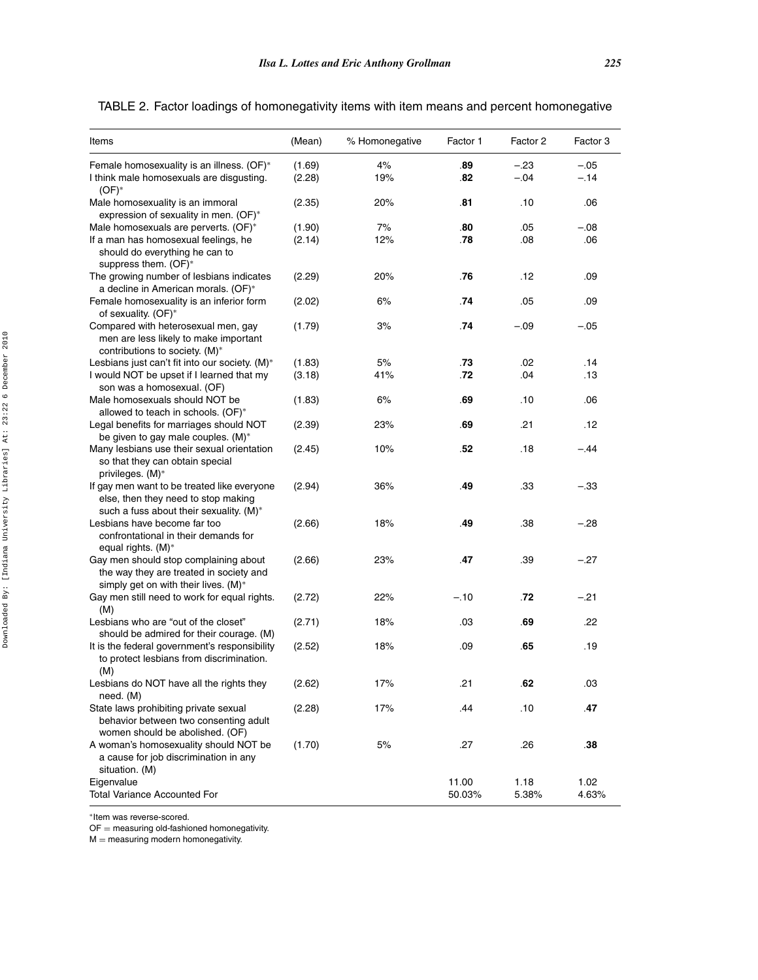| Items                                                                                                                         | (Mean)           | % Homonegative | Factor 1        | Factor 2      | Factor 3         |  |
|-------------------------------------------------------------------------------------------------------------------------------|------------------|----------------|-----------------|---------------|------------------|--|
| Female homosexuality is an illness. (OF)*<br>I think male homosexuals are disgusting.<br>$(OF)^*$                             | (1.69)<br>(2.28) | 4%<br>19%      | .89<br>.82      |               | $-.05$<br>$-.14$ |  |
| Male homosexuality is an immoral<br>expression of sexuality in men. (OF)*                                                     | (2.35)           | 20%            | .81             |               | .06              |  |
| Male homosexuals are perverts. (OF)*                                                                                          | (1.90)           | 7%             | .80             | .05           | $-.08$           |  |
| If a man has homosexual feelings, he<br>should do everything he can to<br>suppress them. (OF)*                                | (2.14)           | 12%            | .78             | .08           | .06              |  |
| The growing number of lesbians indicates<br>a decline in American morals. (OF)*                                               | (2.29)           | 20%            | .76             | .12           | .09              |  |
| Female homosexuality is an inferior form<br>of sexuality. (OF)*                                                               | (2.02)           | 6%             | .74             | .05           | .09              |  |
| Compared with heterosexual men, gay<br>men are less likely to make important<br>contributions to society. (M)*                | (1.79)           | 3%             | .74             | $-.09$        | $-.05$           |  |
| Lesbians just can't fit into our society. (M)*                                                                                | (1.83)           | 5%             | .73             | .02           | .14              |  |
| I would NOT be upset if I learned that my                                                                                     | (3.18)           | 41%            | .72             | .04           | .13              |  |
| son was a homosexual. (OF)<br>Male homosexuals should NOT be<br>allowed to teach in schools. (OF)*                            | (1.83)           | 6%             | .69             | .10           | .06              |  |
| Legal benefits for marriages should NOT<br>be given to gay male couples. (M)*                                                 | (2.39)           | 23%            | .69             | .21           | .12              |  |
| Many lesbians use their sexual orientation<br>so that they can obtain special<br>privileges. (M)*                             | (2.45)           | 10%            | .52             | .18           | $-.44$           |  |
| If gay men want to be treated like everyone<br>else, then they need to stop making<br>such a fuss about their sexuality. (M)* | (2.94)           | 36%            | .49             | .33           | $-.33$           |  |
| Lesbians have become far too<br>confrontational in their demands for<br>equal rights. $(M)^*$                                 | (2.66)           | 18%            | .49             | .38           | $-.28$           |  |
| Gay men should stop complaining about<br>the way they are treated in society and<br>simply get on with their lives. (M)*      | (2.66)           | 23%            | .47             | .39           | $-.27$           |  |
| Gay men still need to work for equal rights.<br>(M)                                                                           | (2.72)           | 22%            | $-.10$          | .72           | $-.21$           |  |
| Lesbians who are "out of the closet"<br>should be admired for their courage. (M)                                              | (2.71)           | 18%            | .03             | .69           | .22              |  |
| It is the federal government's responsibility<br>to protect lesbians from discrimination.<br>(M)                              | (2.52)           | 18%            | .09             | .65           | .19              |  |
| Lesbians do NOT have all the rights they<br>need. (M)                                                                         | (2.62)           | 17%            | .21             | .62           | .03              |  |
| State laws prohibiting private sexual<br>behavior between two consenting adult<br>women should be abolished. (OF)             | (2.28)           | 17%            | .44             | .10           | .47              |  |
| A woman's homosexuality should NOT be<br>a cause for job discrimination in any<br>situation. (M)                              | (1.70)           | 5%             | .27             | .26           | .38              |  |
| Eigenvalue<br><b>Total Variance Accounted For</b>                                                                             |                  |                | 11.00<br>50.03% | 1.18<br>5.38% | 1.02<br>4.63%    |  |

TABLE 2. Factor loadings of homonegativity items with item means and percent homonegative

∗Item was reverse-scored.

 $OF = measuring$  old-fashioned homonegativity.

 $M =$  measuring modern homonegativity.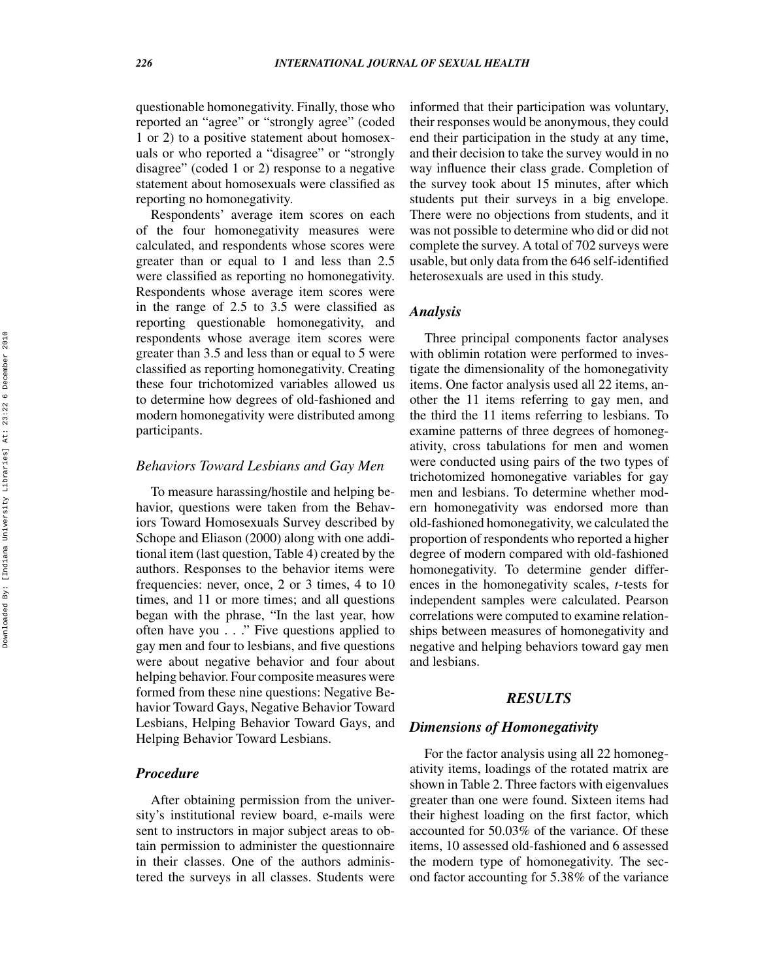questionable homonegativity. Finally, those who reported an "agree" or "strongly agree" (coded 1 or 2) to a positive statement about homosexuals or who reported a "disagree" or "strongly disagree" (coded 1 or 2) response to a negative statement about homosexuals were classified as reporting no homonegativity.

Respondents' average item scores on each of the four homonegativity measures were calculated, and respondents whose scores were greater than or equal to 1 and less than 2.5 were classified as reporting no homonegativity. Respondents whose average item scores were in the range of 2.5 to 3.5 were classified as reporting questionable homonegativity, and respondents whose average item scores were greater than 3.5 and less than or equal to 5 were classified as reporting homonegativity. Creating these four trichotomized variables allowed us to determine how degrees of old-fashioned and modern homonegativity were distributed among participants.

### *Behaviors Toward Lesbians and Gay Men*

To measure harassing/hostile and helping behavior, questions were taken from the Behaviors Toward Homosexuals Survey described by Schope and Eliason (2000) along with one additional item (last question, Table 4) created by the authors. Responses to the behavior items were frequencies: never, once, 2 or 3 times, 4 to 10 times, and 11 or more times; and all questions began with the phrase, "In the last year, how often have you . . ." Five questions applied to gay men and four to lesbians, and five questions were about negative behavior and four about helping behavior. Four composite measures were formed from these nine questions: Negative Behavior Toward Gays, Negative Behavior Toward Lesbians, Helping Behavior Toward Gays, and Helping Behavior Toward Lesbians.

### *Procedure*

After obtaining permission from the university's institutional review board, e-mails were sent to instructors in major subject areas to obtain permission to administer the questionnaire in their classes. One of the authors administered the surveys in all classes. Students were informed that their participation was voluntary, their responses would be anonymous, they could end their participation in the study at any time, and their decision to take the survey would in no way influence their class grade. Completion of the survey took about 15 minutes, after which students put their surveys in a big envelope. There were no objections from students, and it was not possible to determine who did or did not complete the survey. A total of 702 surveys were usable, but only data from the 646 self-identified heterosexuals are used in this study.

### *Analysis*

Three principal components factor analyses with oblimin rotation were performed to investigate the dimensionality of the homonegativity items. One factor analysis used all 22 items, another the 11 items referring to gay men, and the third the 11 items referring to lesbians. To examine patterns of three degrees of homonegativity, cross tabulations for men and women were conducted using pairs of the two types of trichotomized homonegative variables for gay men and lesbians. To determine whether modern homonegativity was endorsed more than old-fashioned homonegativity, we calculated the proportion of respondents who reported a higher degree of modern compared with old-fashioned homonegativity. To determine gender differences in the homonegativity scales, *t*-tests for independent samples were calculated. Pearson correlations were computed to examine relationships between measures of homonegativity and negative and helping behaviors toward gay men and lesbians.

### *RESULTS*

### *Dimensions of Homonegativity*

For the factor analysis using all 22 homonegativity items, loadings of the rotated matrix are shown in Table 2. Three factors with eigenvalues greater than one were found. Sixteen items had their highest loading on the first factor, which accounted for 50.03% of the variance. Of these items, 10 assessed old-fashioned and 6 assessed the modern type of homonegativity. The second factor accounting for 5.38% of the variance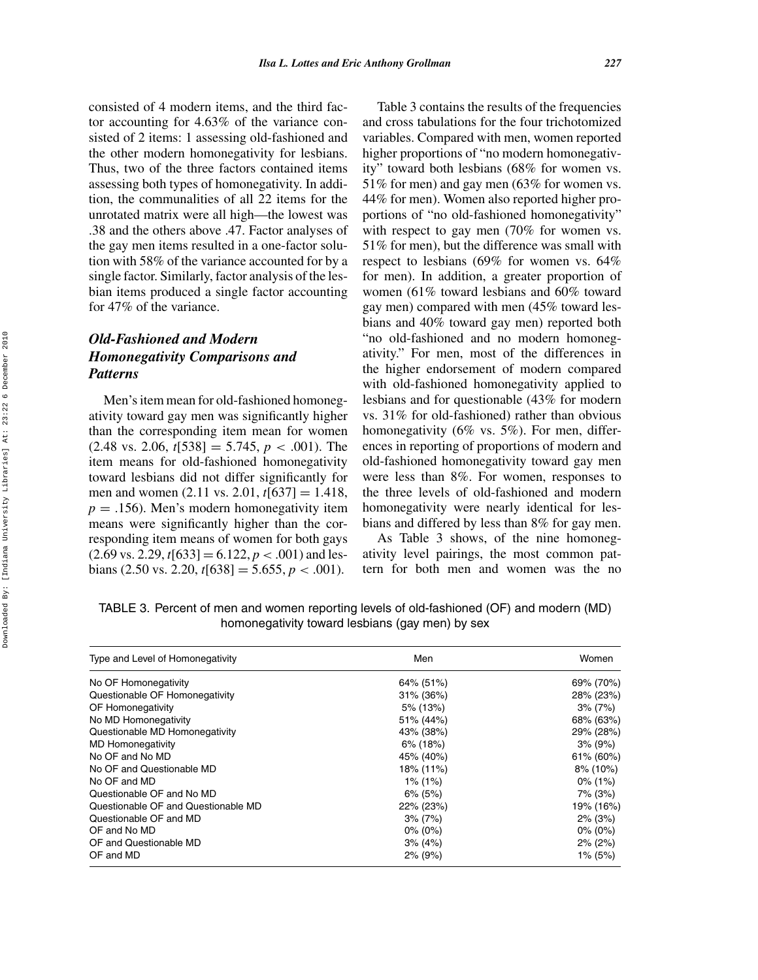consisted of 4 modern items, and the third factor accounting for 4.63% of the variance consisted of 2 items: 1 assessing old-fashioned and the other modern homonegativity for lesbians. Thus, two of the three factors contained items assessing both types of homonegativity. In addition, the communalities of all 22 items for the unrotated matrix were all high—the lowest was .38 and the others above .47. Factor analyses of the gay men items resulted in a one-factor solution with 58% of the variance accounted for by a single factor. Similarly, factor analysis of the lesbian items produced a single factor accounting for 47% of the variance.

# *Old-Fashioned and Modern Homonegativity Comparisons and Patterns*

Men's item mean for old-fashioned homonegativity toward gay men was significantly higher than the corresponding item mean for women  $(2.48 \text{ vs. } 2.06, t[538] = 5.745, p < .001)$ . The item means for old-fashioned homonegativity toward lesbians did not differ significantly for men and women (2.11 vs. 2.01, *t*[637] = 1.418,  $p = .156$ ). Men's modern homonegativity item means were significantly higher than the corresponding item means of women for both gays  $(2.69 \text{ vs. } 2.29, t[633] = 6.122, p < .001)$  and lesbians (2.50 vs. 2.20,  $t[638] = 5.655$ ,  $p < .001$ ).

Table 3 contains the results of the frequencies and cross tabulations for the four trichotomized variables. Compared with men, women reported higher proportions of "no modern homonegativity" toward both lesbians (68% for women vs. 51% for men) and gay men (63% for women vs. 44% for men). Women also reported higher proportions of "no old-fashioned homonegativity" with respect to gay men (70% for women vs. 51% for men), but the difference was small with respect to lesbians (69% for women vs. 64% for men). In addition, a greater proportion of women (61% toward lesbians and 60% toward gay men) compared with men (45% toward lesbians and 40% toward gay men) reported both "no old-fashioned and no modern homonegativity." For men, most of the differences in the higher endorsement of modern compared with old-fashioned homonegativity applied to lesbians and for questionable (43% for modern vs. 31% for old-fashioned) rather than obvious homonegativity (6% vs. 5%). For men, differences in reporting of proportions of modern and old-fashioned homonegativity toward gay men were less than 8%. For women, responses to the three levels of old-fashioned and modern homonegativity were nearly identical for lesbians and differed by less than 8% for gay men.

As Table 3 shows, of the nine homonegativity level pairings, the most common pattern for both men and women was the no

TABLE 3. Percent of men and women reporting levels of old-fashioned (OF) and modern (MD) homonegativity toward lesbians (gay men) by sex

| Type and Level of Homonegativity    | Men          | Women        |  |
|-------------------------------------|--------------|--------------|--|
| No OF Homonegativity                | 64% (51%)    | 69% (70%)    |  |
| Questionable OF Homonegativity      | $31\%$ (36%) | 28% (23%)    |  |
| OF Homonegativity                   | 5% (13%)     | 3% (7%)      |  |
| No MD Homonegativity                | 51% (44%)    | 68% (63%)    |  |
| Questionable MD Homonegativity      | 43% (38%)    | 29% (28%)    |  |
| <b>MD Homonegativity</b>            | $6\%$ (18%)  | 3% (9%)      |  |
| No OF and No MD                     | 45% (40%)    | $61\%$ (60%) |  |
| No OF and Questionable MD           | 18% (11%)    | $8\%$ (10%)  |  |
| No OF and MD                        | $1\%$ (1%)   | $0\%$ (1%)   |  |
| Questionable OF and No MD           | $6\%$ (5%)   | 7% (3%)      |  |
| Questionable OF and Questionable MD | $22\%$ (23%) | 19% (16%)    |  |
| Questionable OF and MD              | $3\%$ (7%)   | $2\%$ (3%)   |  |
| OF and No MD                        | $0\%$ (0%)   | $0\%$ (0%)   |  |
| OF and Questionable MD              | $3\%$ (4%)   | $2\%$ (2%)   |  |
| OF and MD                           | $2\%$ (9%)   | $1\%$ (5%)   |  |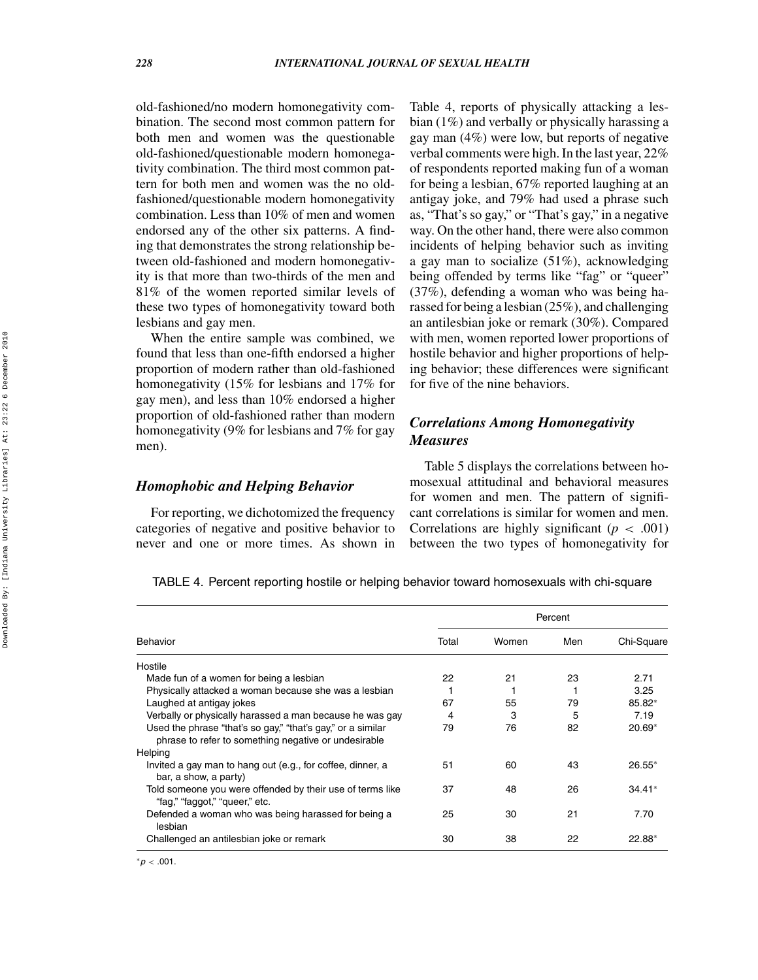old-fashioned/no modern homonegativity combination. The second most common pattern for both men and women was the questionable old-fashioned/questionable modern homonegativity combination. The third most common pattern for both men and women was the no oldfashioned/questionable modern homonegativity combination. Less than 10% of men and women endorsed any of the other six patterns. A finding that demonstrates the strong relationship between old-fashioned and modern homonegativity is that more than two-thirds of the men and 81% of the women reported similar levels of these two types of homonegativity toward both lesbians and gay men.

When the entire sample was combined, we found that less than one-fifth endorsed a higher proportion of modern rather than old-fashioned homonegativity (15% for lesbians and 17% for gay men), and less than 10% endorsed a higher proportion of old-fashioned rather than modern homonegativity (9% for lesbians and 7% for gay men).

### *Homophobic and Helping Behavior*

For reporting, we dichotomized the frequency categories of negative and positive behavior to never and one or more times. As shown in Table 4, reports of physically attacking a lesbian (1%) and verbally or physically harassing a gay man (4%) were low, but reports of negative verbal comments were high. In the last year, 22% of respondents reported making fun of a woman for being a lesbian, 67% reported laughing at an antigay joke, and 79% had used a phrase such as, "That's so gay," or "That's gay," in a negative way. On the other hand, there were also common incidents of helping behavior such as inviting a gay man to socialize (51%), acknowledging being offended by terms like "fag" or "queer" (37%), defending a woman who was being harassed for being a lesbian (25%), and challenging an antilesbian joke or remark (30%). Compared with men, women reported lower proportions of hostile behavior and higher proportions of helping behavior; these differences were significant for five of the nine behaviors.

# *Correlations Among Homonegativity Measures*

Table 5 displays the correlations between homosexual attitudinal and behavioral measures for women and men. The pattern of significant correlations is similar for women and men. Correlations are highly significant (*p <* .001) between the two types of homonegativity for

TABLE 4. Percent reporting hostile or helping behavior toward homosexuals with chi-square

|                                                                                                                     | Percent |       |     |            |  |
|---------------------------------------------------------------------------------------------------------------------|---------|-------|-----|------------|--|
| Behavior                                                                                                            | Total   | Women | Men | Chi-Square |  |
| Hostile                                                                                                             |         |       |     |            |  |
| Made fun of a women for being a lesbian                                                                             | 22      | 21    | 23  | 2.71       |  |
| Physically attacked a woman because she was a lesbian                                                               |         |       |     | 3.25       |  |
| Laughed at antigay jokes                                                                                            | 67      | 55    | 79  | 85.82*     |  |
| Verbally or physically harassed a man because he was gay                                                            | 4       | 3     | 5   | 7.19       |  |
| Used the phrase "that's so gay," "that's gay," or a similar<br>phrase to refer to something negative or undesirable | 79      | 76    | 82  | $20.69*$   |  |
| Helping                                                                                                             |         |       |     |            |  |
| Invited a gay man to hang out (e.g., for coffee, dinner, a<br>bar, a show, a party)                                 | 51      | 60    | 43  | $26.55*$   |  |
| Told someone you were offended by their use of terms like<br>"fag," "faggot," "queer," etc.                         | 37      | 48    | 26  | $34.41*$   |  |
| Defended a woman who was being harassed for being a<br>lesbian                                                      | 25      | 30    | 21  | 7.70       |  |
| Challenged an antilesbian joke or remark                                                                            | 30      | 38    | 22  | $22.88*$   |  |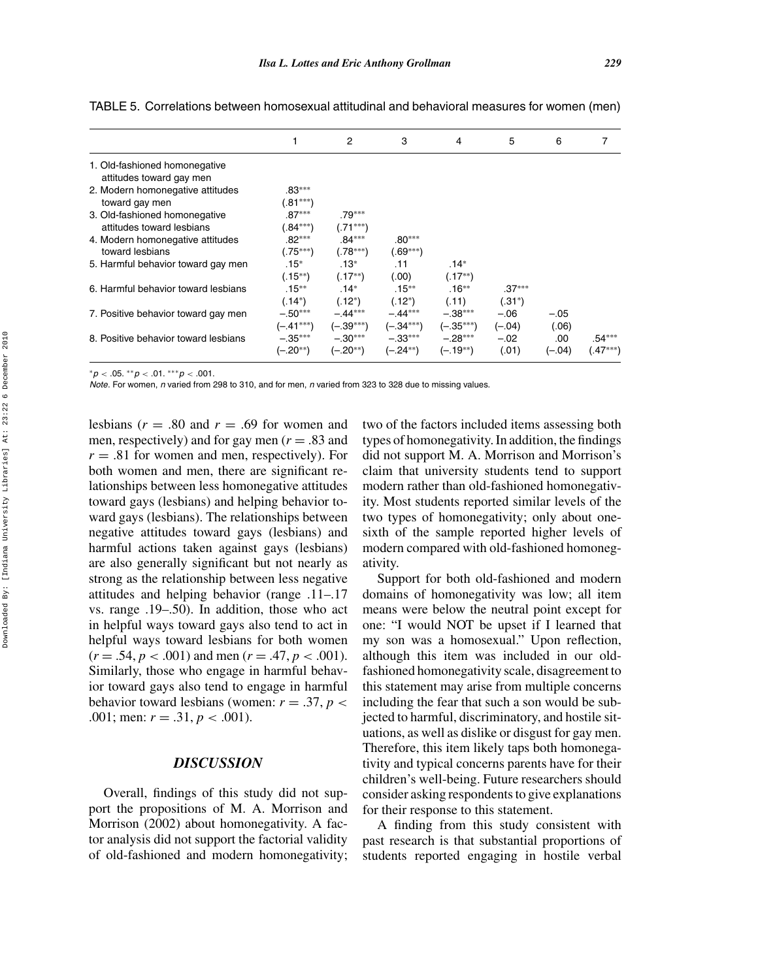|                                      |              | 2             | 3             | 4             | 5         | 6      | 7       |
|--------------------------------------|--------------|---------------|---------------|---------------|-----------|--------|---------|
| 1. Old-fashioned homonegative        |              |               |               |               |           |        |         |
| attitudes toward gay men             |              |               |               |               |           |        |         |
| 2. Modern homonegative attitudes     | $.83***$     |               |               |               |           |        |         |
| toward gay men                       | $(.81***)$   |               |               |               |           |        |         |
| 3. Old-fashioned homonegative        | $.87***$     | .79***        |               |               |           |        |         |
| attitudes toward lesbians            | $(.84***)$   | (.71***)      |               |               |           |        |         |
| 4. Modern homonegative attitudes     | .82***       | $.84***$      | .80***        |               |           |        |         |
| toward lesbians                      | (.75***)     | $(.78***)$    | $(.69***)$    |               |           |        |         |
| 5. Harmful behavior toward gay men   | $.15*$       | $.13^*$       | .11           | $.14*$        |           |        |         |
|                                      | $(.15^{**})$ | $(.17^{**})$  | (00.1)        | $(.17^{**})$  |           |        |         |
| 6. Harmful behavior toward lesbians  | $.15***$     | $.14*$        | $.15***$      | $.16***$      | $.37***$  |        |         |
|                                      | $(.14^*)$    | $(.12^*)$     | $(.12^*)$     | (.11)         | $(.31^*)$ |        |         |
| 7. Positive behavior toward gay men  | $-.50***$    | $-.44***$     | $-.44***$     | $-.38***$     | $-.06$    | $-.05$ |         |
|                                      | (-.41***)    | $(-.39***)$   | $(-.34***)$   | $(-.35***)$   | $(-.04)$  | (.06)  |         |
| 8. Positive behavior toward lesbians | $-.35***$    | $-.30***$     | $-.33***$     | $-.28***$     | $-.02$    | .00    | .54***  |
|                                      | (–.20**)     | $(-.20^{**})$ | $(-.24^{**})$ | $(-.19^{**})$ | (.01)     | (–.04) | .47***` |

TABLE 5. Correlations between homosexual attitudinal and behavioral measures for women (men)

∗p *<* .05. ∗∗p *<* .01. ∗∗∗p *<* .001.

Note. For women, n varied from 298 to 310, and for men, n varied from 323 to 328 due to missing values.

lesbians ( $r = .80$  and  $r = .69$  for women and men, respectively) and for gay men  $(r = .83$  and  $r = .81$  for women and men, respectively). For both women and men, there are significant relationships between less homonegative attitudes toward gays (lesbians) and helping behavior toward gays (lesbians). The relationships between negative attitudes toward gays (lesbians) and harmful actions taken against gays (lesbians) are also generally significant but not nearly as strong as the relationship between less negative attitudes and helping behavior (range .11–.17 vs. range .19–.50). In addition, those who act in helpful ways toward gays also tend to act in helpful ways toward lesbians for both women  $(r = .54, p < .001)$  and men  $(r = .47, p < .001)$ . Similarly, those who engage in harmful behavior toward gays also tend to engage in harmful behavior toward lesbians (women:  $r = .37$ ,  $p <$ .001; men:  $r = .31, p < .001$ ).

### *DISCUSSION*

Overall, findings of this study did not support the propositions of M. A. Morrison and Morrison (2002) about homonegativity. A factor analysis did not support the factorial validity of old-fashioned and modern homonegativity;

two of the factors included items assessing both types of homonegativity. In addition, the findings did not support M. A. Morrison and Morrison's claim that university students tend to support modern rather than old-fashioned homonegativity. Most students reported similar levels of the two types of homonegativity; only about onesixth of the sample reported higher levels of modern compared with old-fashioned homonegativity.

Support for both old-fashioned and modern domains of homonegativity was low; all item means were below the neutral point except for one: "I would NOT be upset if I learned that my son was a homosexual." Upon reflection, although this item was included in our oldfashioned homonegativity scale, disagreement to this statement may arise from multiple concerns including the fear that such a son would be subjected to harmful, discriminatory, and hostile situations, as well as dislike or disgust for gay men. Therefore, this item likely taps both homonegativity and typical concerns parents have for their children's well-being. Future researchers should consider asking respondents to give explanations for their response to this statement.

A finding from this study consistent with past research is that substantial proportions of students reported engaging in hostile verbal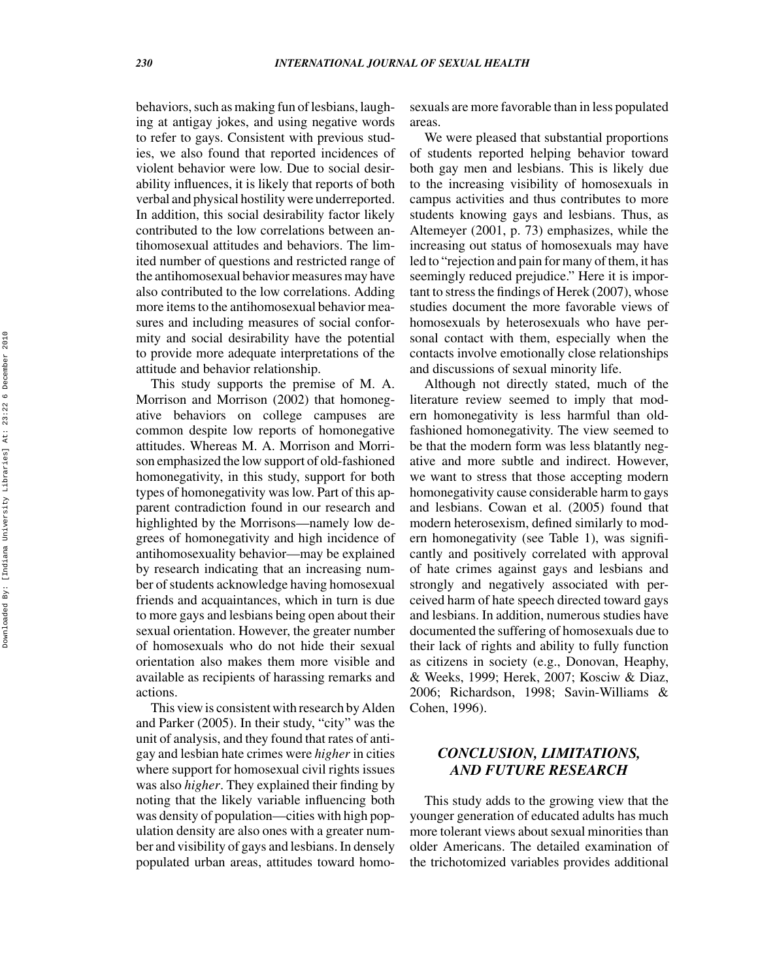behaviors, such as making fun of lesbians, laughing at antigay jokes, and using negative words to refer to gays. Consistent with previous studies, we also found that reported incidences of violent behavior were low. Due to social desirability influences, it is likely that reports of both verbal and physical hostility were underreported. In addition, this social desirability factor likely contributed to the low correlations between antihomosexual attitudes and behaviors. The limited number of questions and restricted range of the antihomosexual behavior measures may have also contributed to the low correlations. Adding more items to the antihomosexual behavior measures and including measures of social conformity and social desirability have the potential to provide more adequate interpretations of the attitude and behavior relationship.

This study supports the premise of M. A. Morrison and Morrison (2002) that homonegative behaviors on college campuses are common despite low reports of homonegative attitudes. Whereas M. A. Morrison and Morrison emphasized the low support of old-fashioned homonegativity, in this study, support for both types of homonegativity was low. Part of this apparent contradiction found in our research and highlighted by the Morrisons—namely low degrees of homonegativity and high incidence of antihomosexuality behavior—may be explained by research indicating that an increasing number of students acknowledge having homosexual friends and acquaintances, which in turn is due to more gays and lesbians being open about their sexual orientation. However, the greater number of homosexuals who do not hide their sexual orientation also makes them more visible and available as recipients of harassing remarks and actions.

This view is consistent with research by Alden and Parker (2005). In their study, "city" was the unit of analysis, and they found that rates of antigay and lesbian hate crimes were *higher* in cities where support for homosexual civil rights issues was also *higher*. They explained their finding by noting that the likely variable influencing both was density of population—cities with high population density are also ones with a greater number and visibility of gays and lesbians. In densely populated urban areas, attitudes toward homosexuals are more favorable than in less populated areas.

We were pleased that substantial proportions of students reported helping behavior toward both gay men and lesbians. This is likely due to the increasing visibility of homosexuals in campus activities and thus contributes to more students knowing gays and lesbians. Thus, as Altemeyer (2001, p. 73) emphasizes, while the increasing out status of homosexuals may have led to "rejection and pain for many of them, it has seemingly reduced prejudice." Here it is important to stress the findings of Herek (2007), whose studies document the more favorable views of homosexuals by heterosexuals who have personal contact with them, especially when the contacts involve emotionally close relationships and discussions of sexual minority life.

Although not directly stated, much of the literature review seemed to imply that modern homonegativity is less harmful than oldfashioned homonegativity. The view seemed to be that the modern form was less blatantly negative and more subtle and indirect. However, we want to stress that those accepting modern homonegativity cause considerable harm to gays and lesbians. Cowan et al. (2005) found that modern heterosexism, defined similarly to modern homonegativity (see Table 1), was significantly and positively correlated with approval of hate crimes against gays and lesbians and strongly and negatively associated with perceived harm of hate speech directed toward gays and lesbians. In addition, numerous studies have documented the suffering of homosexuals due to their lack of rights and ability to fully function as citizens in society (e.g., Donovan, Heaphy, & Weeks, 1999; Herek, 2007; Kosciw & Diaz, 2006; Richardson, 1998; Savin-Williams & Cohen, 1996).

# *CONCLUSION, LIMITATIONS, AND FUTURE RESEARCH*

This study adds to the growing view that the younger generation of educated adults has much more tolerant views about sexual minorities than older Americans. The detailed examination of the trichotomized variables provides additional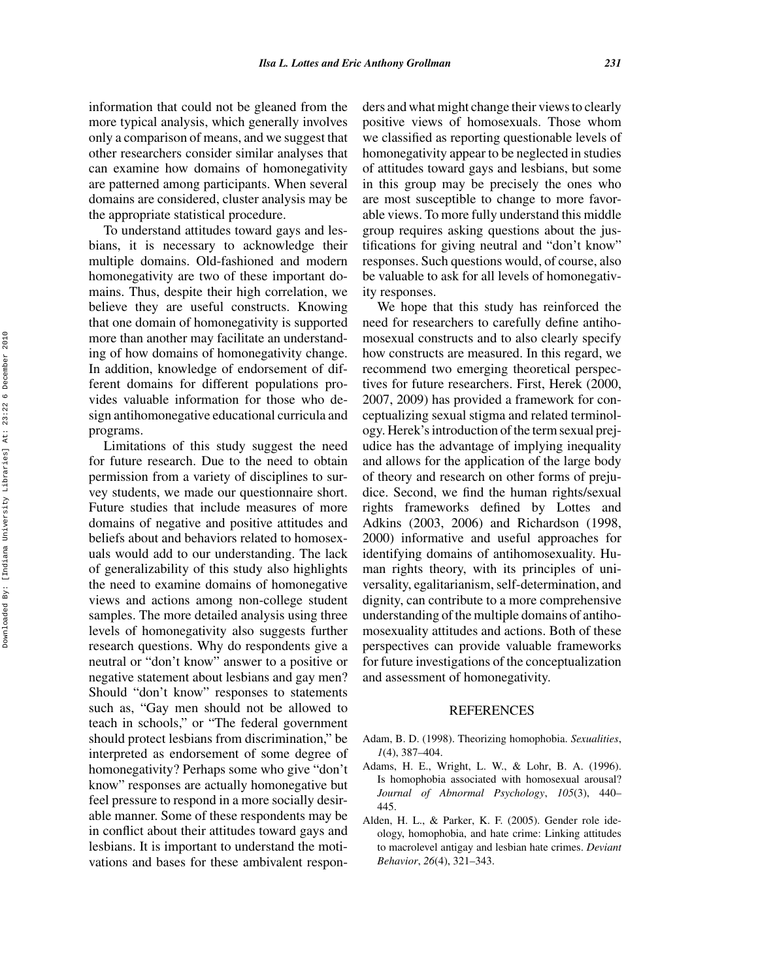information that could not be gleaned from the more typical analysis, which generally involves only a comparison of means, and we suggest that other researchers consider similar analyses that can examine how domains of homonegativity are patterned among participants. When several domains are considered, cluster analysis may be the appropriate statistical procedure.

To understand attitudes toward gays and lesbians, it is necessary to acknowledge their multiple domains. Old-fashioned and modern homonegativity are two of these important domains. Thus, despite their high correlation, we believe they are useful constructs. Knowing that one domain of homonegativity is supported more than another may facilitate an understanding of how domains of homonegativity change. In addition, knowledge of endorsement of different domains for different populations provides valuable information for those who design antihomonegative educational curricula and programs.

Limitations of this study suggest the need for future research. Due to the need to obtain permission from a variety of disciplines to survey students, we made our questionnaire short. Future studies that include measures of more domains of negative and positive attitudes and beliefs about and behaviors related to homosexuals would add to our understanding. The lack of generalizability of this study also highlights the need to examine domains of homonegative views and actions among non-college student samples. The more detailed analysis using three levels of homonegativity also suggests further research questions. Why do respondents give a neutral or "don't know" answer to a positive or negative statement about lesbians and gay men? Should "don't know" responses to statements such as, "Gay men should not be allowed to teach in schools," or "The federal government should protect lesbians from discrimination," be interpreted as endorsement of some degree of homonegativity? Perhaps some who give "don't know" responses are actually homonegative but feel pressure to respond in a more socially desirable manner. Some of these respondents may be in conflict about their attitudes toward gays and lesbians. It is important to understand the motivations and bases for these ambivalent responders and what might change their views to clearly positive views of homosexuals. Those whom we classified as reporting questionable levels of homonegativity appear to be neglected in studies of attitudes toward gays and lesbians, but some in this group may be precisely the ones who are most susceptible to change to more favorable views. To more fully understand this middle group requires asking questions about the justifications for giving neutral and "don't know" responses. Such questions would, of course, also be valuable to ask for all levels of homonegativity responses.

We hope that this study has reinforced the need for researchers to carefully define antihomosexual constructs and to also clearly specify how constructs are measured. In this regard, we recommend two emerging theoretical perspectives for future researchers. First, Herek (2000, 2007, 2009) has provided a framework for conceptualizing sexual stigma and related terminology. Herek's introduction of the term sexual prejudice has the advantage of implying inequality and allows for the application of the large body of theory and research on other forms of prejudice. Second, we find the human rights/sexual rights frameworks defined by Lottes and Adkins (2003, 2006) and Richardson (1998, 2000) informative and useful approaches for identifying domains of antihomosexuality. Human rights theory, with its principles of universality, egalitarianism, self-determination, and dignity, can contribute to a more comprehensive understanding of the multiple domains of antihomosexuality attitudes and actions. Both of these perspectives can provide valuable frameworks for future investigations of the conceptualization and assessment of homonegativity.

### **REFERENCES**

- Adam, B. D. (1998). Theorizing homophobia. *Sexualities*, *1*(4), 387–404.
- Adams, H. E., Wright, L. W., & Lohr, B. A. (1996). Is homophobia associated with homosexual arousal? *Journal of Abnormal Psychology*, *105*(3), 440– 445.
- Alden, H. L., & Parker, K. F. (2005). Gender role ideology, homophobia, and hate crime: Linking attitudes to macrolevel antigay and lesbian hate crimes. *Deviant Behavior*, *26*(4), 321–343.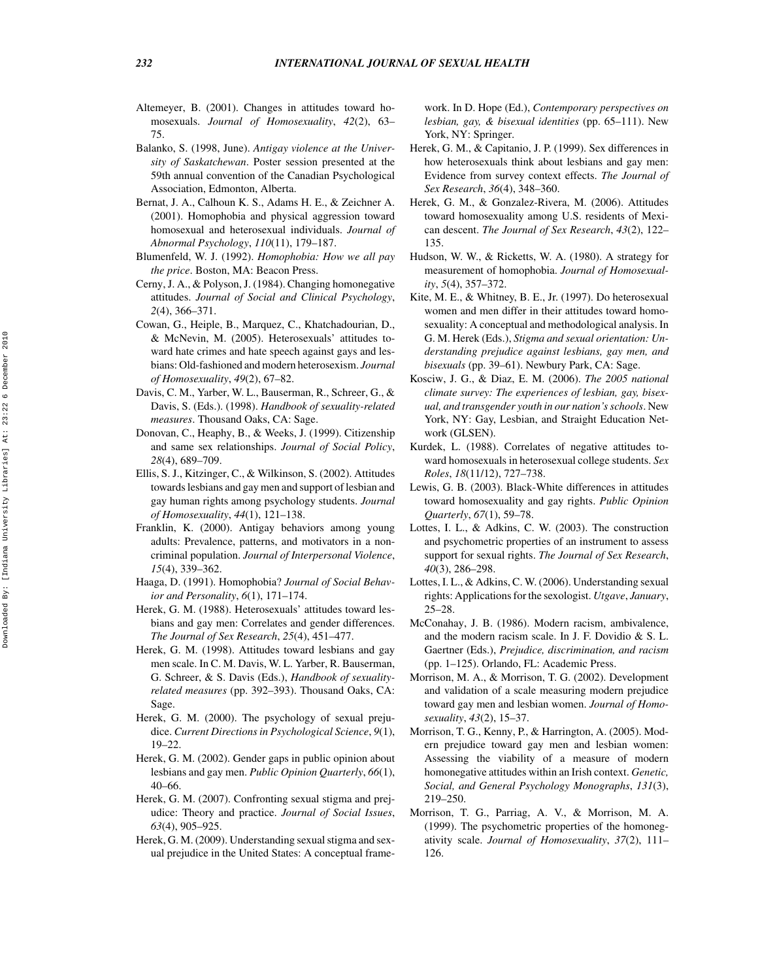- Altemeyer, B. (2001). Changes in attitudes toward homosexuals. *Journal of Homosexuality*, *42*(2), 63– 75.
- Balanko, S. (1998, June). *Antigay violence at the University of Saskatchewan*. Poster session presented at the 59th annual convention of the Canadian Psychological Association, Edmonton, Alberta.
- Bernat, J. A., Calhoun K. S., Adams H. E., & Zeichner A. (2001). Homophobia and physical aggression toward homosexual and heterosexual individuals. *Journal of Abnormal Psychology*, *110*(11), 179–187.
- Blumenfeld, W. J. (1992). *Homophobia: How we all pay the price*. Boston, MA: Beacon Press.
- Cerny, J. A., & Polyson, J. (1984). Changing homonegative attitudes. *Journal of Social and Clinical Psychology*, *2*(4), 366–371.
- Cowan, G., Heiple, B., Marquez, C., Khatchadourian, D., & McNevin, M. (2005). Heterosexuals' attitudes toward hate crimes and hate speech against gays and lesbians: Old-fashioned and modern heterosexism. *Journal of Homosexuality*, *49*(2), 67–82.
- Davis, C. M., Yarber, W. L., Bauserman, R., Schreer, G., & Davis, S. (Eds.). (1998). *Handbook of sexuality-related measures*. Thousand Oaks, CA: Sage.
- Donovan, C., Heaphy, B., & Weeks, J. (1999). Citizenship and same sex relationships. *Journal of Social Policy*, *28*(4), 689–709.
- Ellis, S. J., Kitzinger, C., & Wilkinson, S. (2002). Attitudes towards lesbians and gay men and support of lesbian and gay human rights among psychology students. *Journal of Homosexuality*, *44*(1), 121–138.
- Franklin, K. (2000). Antigay behaviors among young adults: Prevalence, patterns, and motivators in a noncriminal population. *Journal of Interpersonal Violence*, *15*(4), 339–362.
- Haaga, D. (1991). Homophobia? *Journal of Social Behavior and Personality*, *6*(1), 171–174.
- Herek, G. M. (1988). Heterosexuals' attitudes toward lesbians and gay men: Correlates and gender differences. *The Journal of Sex Research*, *25*(4), 451–477.
- Herek, G. M. (1998). Attitudes toward lesbians and gay men scale. In C. M. Davis, W. L. Yarber, R. Bauserman, G. Schreer, & S. Davis (Eds.), *Handbook of sexualityrelated measures* (pp. 392–393). Thousand Oaks, CA: Sage.
- Herek, G. M. (2000). The psychology of sexual prejudice. *Current Directions in Psychological Science*, *9*(1), 19–22.
- Herek, G. M. (2002). Gender gaps in public opinion about lesbians and gay men. *Public Opinion Quarterly*, *66*(1), 40–66.
- Herek, G. M. (2007). Confronting sexual stigma and prejudice: Theory and practice. *Journal of Social Issues*, *63*(4), 905–925.
- Herek, G. M. (2009). Understanding sexual stigma and sexual prejudice in the United States: A conceptual frame-

work. In D. Hope (Ed.), *Contemporary perspectives on lesbian, gay, & bisexual identities* (pp. 65–111). New York, NY: Springer.

- Herek, G. M., & Capitanio, J. P. (1999). Sex differences in how heterosexuals think about lesbians and gay men: Evidence from survey context effects. *The Journal of Sex Research*, *36*(4), 348–360.
- Herek, G. M., & Gonzalez-Rivera, M. (2006). Attitudes toward homosexuality among U.S. residents of Mexican descent. *The Journal of Sex Research*, *43*(2), 122– 135.
- Hudson, W. W., & Ricketts, W. A. (1980). A strategy for measurement of homophobia. *Journal of Homosexuality*, *5*(4), 357–372.
- Kite, M. E., & Whitney, B. E., Jr. (1997). Do heterosexual women and men differ in their attitudes toward homosexuality: A conceptual and methodological analysis. In G. M. Herek (Eds.), *Stigma and sexual orientation: Understanding prejudice against lesbians, gay men, and bisexuals* (pp. 39–61). Newbury Park, CA: Sage.
- Kosciw, J. G., & Diaz, E. M. (2006). *The 2005 national climate survey: The experiences of lesbian, gay, bisexual, and transgender youth in our nation's schools*. New York, NY: Gay, Lesbian, and Straight Education Network (GLSEN).
- Kurdek, L. (1988). Correlates of negative attitudes toward homosexuals in heterosexual college students. *Sex Roles*, *18*(11/12), 727–738.
- Lewis, G. B. (2003). Black-White differences in attitudes toward homosexuality and gay rights. *Public Opinion Quarterly*, *67*(1), 59–78.
- Lottes, I. L., & Adkins, C. W. (2003). The construction and psychometric properties of an instrument to assess support for sexual rights. *The Journal of Sex Research*, *40*(3), 286–298.
- Lottes, I. L., & Adkins, C. W. (2006). Understanding sexual rights: Applications for the sexologist. *Utgave*, *January*, 25–28.
- McConahay, J. B. (1986). Modern racism, ambivalence, and the modern racism scale. In J. F. Dovidio & S. L. Gaertner (Eds.), *Prejudice, discrimination, and racism* (pp. 1–125). Orlando, FL: Academic Press.
- Morrison, M. A., & Morrison, T. G. (2002). Development and validation of a scale measuring modern prejudice toward gay men and lesbian women. *Journal of Homosexuality*, *43*(2), 15–37.
- Morrison, T. G., Kenny, P., & Harrington, A. (2005). Modern prejudice toward gay men and lesbian women: Assessing the viability of a measure of modern homonegative attitudes within an Irish context. *Genetic, Social, and General Psychology Monographs*, *131*(3), 219–250.
- Morrison, T. G., Parriag, A. V., & Morrison, M. A. (1999). The psychometric properties of the homonegativity scale. *Journal of Homosexuality*, *37*(2), 111– 126.